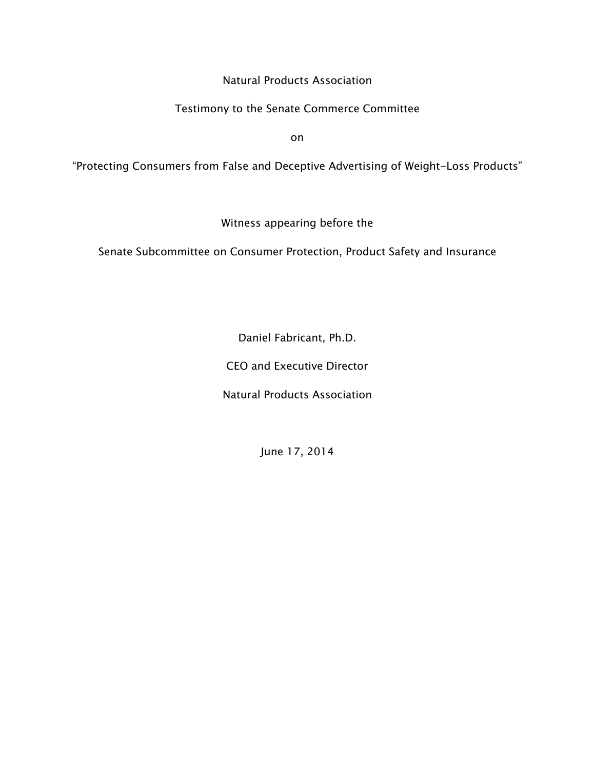Natural Products Association

## Testimony to the Senate Commerce Committee

on

"Protecting Consumers from False and Deceptive Advertising of Weight-Loss Products"

Witness appearing before the

Senate Subcommittee on Consumer Protection, Product Safety and Insurance

Daniel Fabricant, Ph.D.

CEO and Executive Director

Natural Products Association

June 17, 2014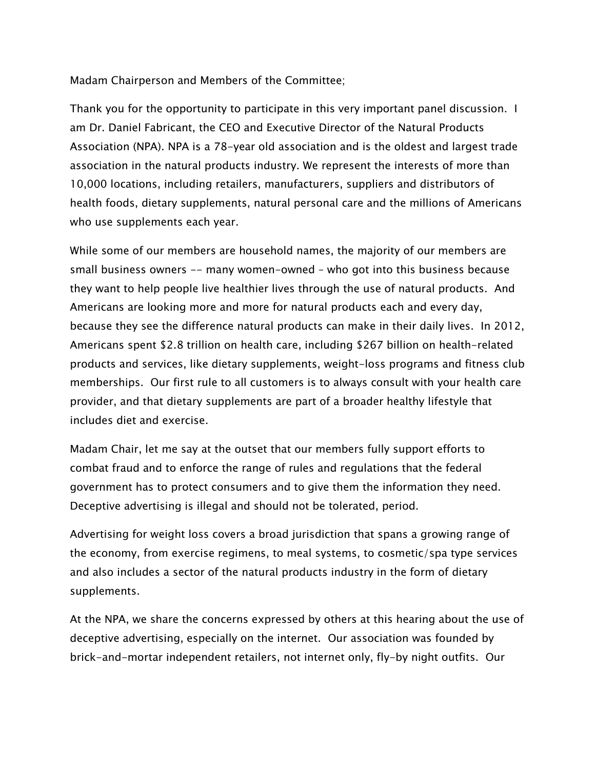Madam Chairperson and Members of the Committee;

Thank you for the opportunity to participate in this very important panel discussion. I am Dr. Daniel Fabricant, the CEO and Executive Director of the Natural Products Association (NPA). NPA is a 78-year old association and is the oldest and largest trade association in the natural products industry. We represent the interests of more than 10,000 locations, including retailers, manufacturers, suppliers and distributors of health foods, dietary supplements, natural personal care and the millions of Americans who use supplements each year.

While some of our members are household names, the majority of our members are small business owners -- many women-owned – who got into this business because they want to help people live healthier lives through the use of natural products. And Americans are looking more and more for natural products each and every day, because they see the difference natural products can make in their daily lives. In 2012, Americans spent \$2.8 trillion on health care, including \$267 billion on health-related products and services, like dietary supplements, weight-loss programs and fitness club memberships. Our first rule to all customers is to always consult with your health care provider, and that dietary supplements are part of a broader healthy lifestyle that includes diet and exercise.

Madam Chair, let me say at the outset that our members fully support efforts to combat fraud and to enforce the range of rules and regulations that the federal government has to protect consumers and to give them the information they need. Deceptive advertising is illegal and should not be tolerated, period.

Advertising for weight loss covers a broad jurisdiction that spans a growing range of the economy, from exercise regimens, to meal systems, to cosmetic/spa type services and also includes a sector of the natural products industry in the form of dietary supplements.

At the NPA, we share the concerns expressed by others at this hearing about the use of deceptive advertising, especially on the internet. Our association was founded by brick-and-mortar independent retailers, not internet only, fly-by night outfits. Our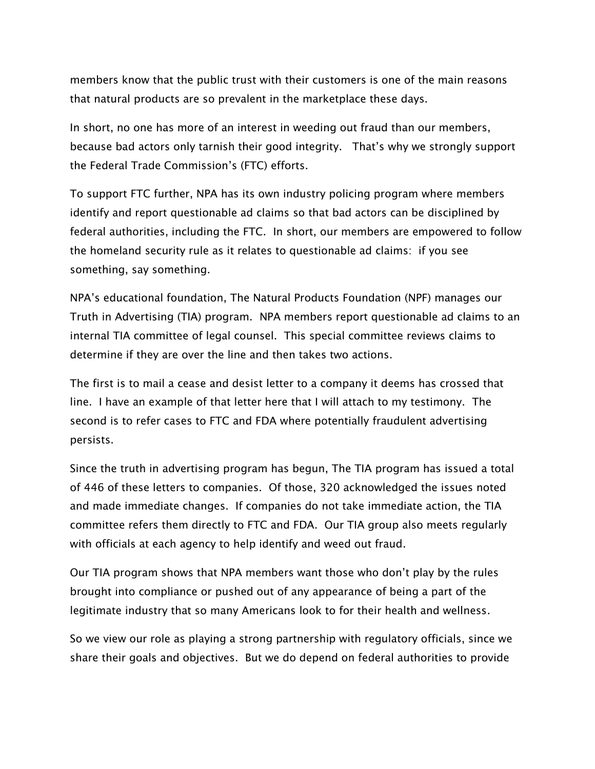members know that the public trust with their customers is one of the main reasons that natural products are so prevalent in the marketplace these days.

In short, no one has more of an interest in weeding out fraud than our members, because bad actors only tarnish their good integrity. That's why we strongly support the Federal Trade Commission's (FTC) efforts.

To support FTC further, NPA has its own industry policing program where members identify and report questionable ad claims so that bad actors can be disciplined by federal authorities, including the FTC. In short, our members are empowered to follow the homeland security rule as it relates to questionable ad claims: if you see something, say something.

NPA's educational foundation, The Natural Products Foundation (NPF) manages our Truth in Advertising (TIA) program. NPA members report questionable ad claims to an internal TIA committee of legal counsel. This special committee reviews claims to determine if they are over the line and then takes two actions.

The first is to mail a cease and desist letter to a company it deems has crossed that line. I have an example of that letter here that I will attach to my testimony. The second is to refer cases to FTC and FDA where potentially fraudulent advertising persists.

Since the truth in advertising program has begun, The TIA program has issued a total of 446 of these letters to companies. Of those, 320 acknowledged the issues noted and made immediate changes. If companies do not take immediate action, the TIA committee refers them directly to FTC and FDA. Our TIA group also meets regularly with officials at each agency to help identify and weed out fraud.

Our TIA program shows that NPA members want those who don't play by the rules brought into compliance or pushed out of any appearance of being a part of the legitimate industry that so many Americans look to for their health and wellness.

So we view our role as playing a strong partnership with regulatory officials, since we share their goals and objectives. But we do depend on federal authorities to provide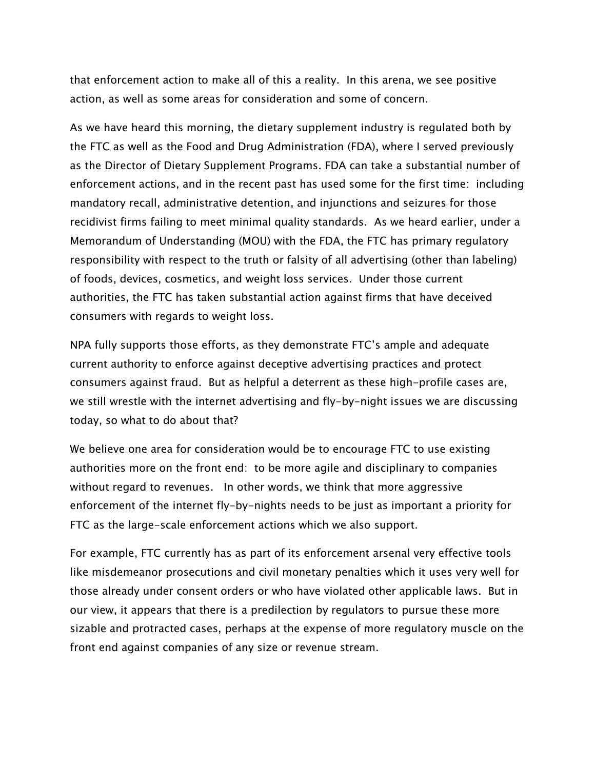that enforcement action to make all of this a reality. In this arena, we see positive action, as well as some areas for consideration and some of concern.

As we have heard this morning, the dietary supplement industry is regulated both by the FTC as well as the Food and Drug Administration (FDA), where I served previously as the Director of Dietary Supplement Programs. FDA can take a substantial number of enforcement actions, and in the recent past has used some for the first time: including mandatory recall, administrative detention, and injunctions and seizures for those recidivist firms failing to meet minimal quality standards. As we heard earlier, under a Memorandum of Understanding (MOU) with the FDA, the FTC has primary regulatory responsibility with respect to the truth or falsity of all advertising (other than labeling) of foods, devices, cosmetics, and weight loss services. Under those current authorities, the FTC has taken substantial action against firms that have deceived consumers with regards to weight loss.

NPA fully supports those efforts, as they demonstrate FTC's ample and adequate current authority to enforce against deceptive advertising practices and protect consumers against fraud. But as helpful a deterrent as these high-profile cases are, we still wrestle with the internet advertising and fly-by-night issues we are discussing today, so what to do about that?

We believe one area for consideration would be to encourage FTC to use existing authorities more on the front end: to be more agile and disciplinary to companies without regard to revenues. In other words, we think that more aggressive enforcement of the internet fly-by-nights needs to be just as important a priority for FTC as the large-scale enforcement actions which we also support.

For example, FTC currently has as part of its enforcement arsenal very effective tools like misdemeanor prosecutions and civil monetary penalties which it uses very well for those already under consent orders or who have violated other applicable laws. But in our view, it appears that there is a predilection by regulators to pursue these more sizable and protracted cases, perhaps at the expense of more regulatory muscle on the front end against companies of any size or revenue stream.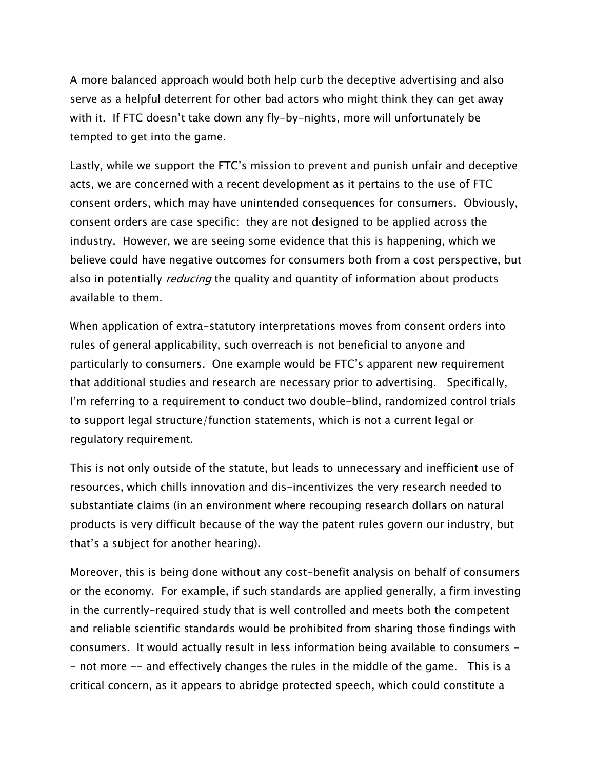A more balanced approach would both help curb the deceptive advertising and also serve as a helpful deterrent for other bad actors who might think they can get away with it. If FTC doesn't take down any fly-by-nights, more will unfortunately be tempted to get into the game.

Lastly, while we support the FTC's mission to prevent and punish unfair and deceptive acts, we are concerned with a recent development as it pertains to the use of FTC consent orders, which may have unintended consequences for consumers. Obviously, consent orders are case specific: they are not designed to be applied across the industry. However, we are seeing some evidence that this is happening, which we believe could have negative outcomes for consumers both from a cost perspective, but also in potentially *reducing* the quality and quantity of information about products available to them.

When application of extra-statutory interpretations moves from consent orders into rules of general applicability, such overreach is not beneficial to anyone and particularly to consumers. One example would be FTC's apparent new requirement that additional studies and research are necessary prior to advertising. Specifically, I'm referring to a requirement to conduct two double-blind, randomized control trials to support legal structure/function statements, which is not a current legal or regulatory requirement.

This is not only outside of the statute, but leads to unnecessary and inefficient use of resources, which chills innovation and dis-incentivizes the very research needed to substantiate claims (in an environment where recouping research dollars on natural products is very difficult because of the way the patent rules govern our industry, but that's a subject for another hearing).

Moreover, this is being done without any cost-benefit analysis on behalf of consumers or the economy. For example, if such standards are applied generally, a firm investing in the currently-required study that is well controlled and meets both the competent and reliable scientific standards would be prohibited from sharing those findings with consumers. It would actually result in less information being available to consumers - - not more -- and effectively changes the rules in the middle of the game. This is a critical concern, as it appears to abridge protected speech, which could constitute a